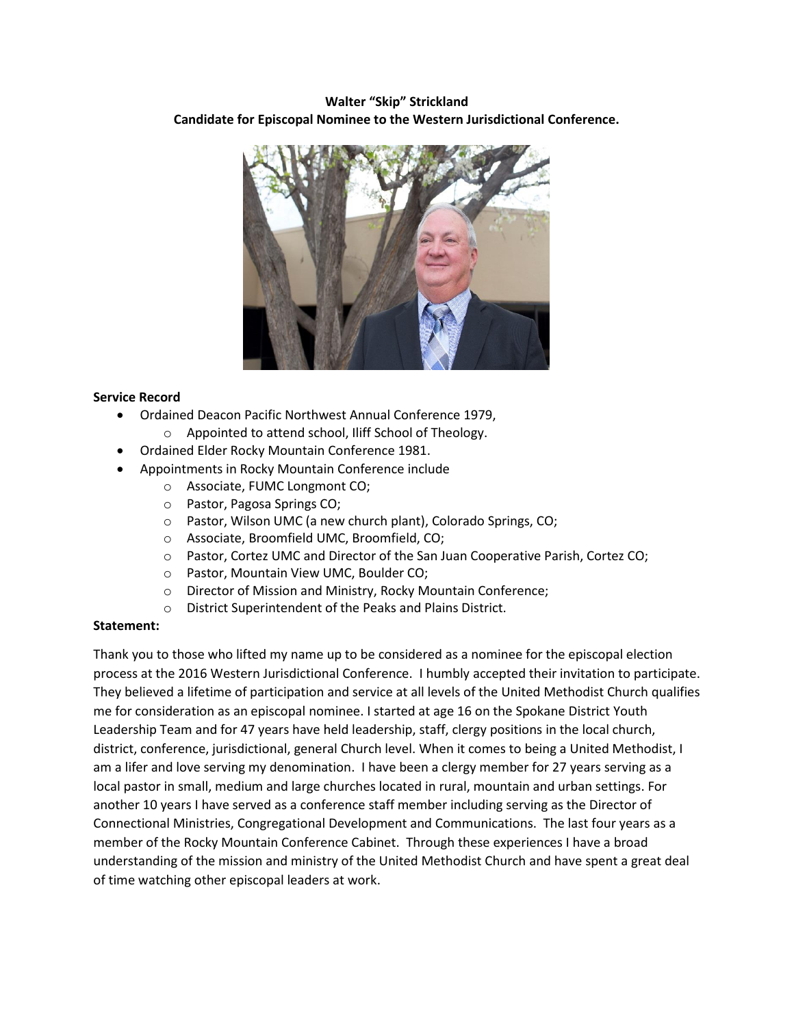## **Walter "Skip" Strickland Candidate for Episcopal Nominee to the Western Jurisdictional Conference.**



## **Service Record**

- Ordained Deacon Pacific Northwest Annual Conference 1979,
	- o Appointed to attend school, Iliff School of Theology.
- Ordained Elder Rocky Mountain Conference 1981.
- Appointments in Rocky Mountain Conference include
	- o Associate, FUMC Longmont CO;
	- o Pastor, Pagosa Springs CO;
	- o Pastor, Wilson UMC (a new church plant), Colorado Springs, CO;
	- o Associate, Broomfield UMC, Broomfield, CO;
	- o Pastor, Cortez UMC and Director of the San Juan Cooperative Parish, Cortez CO;
	- o Pastor, Mountain View UMC, Boulder CO;
	- o Director of Mission and Ministry, Rocky Mountain Conference;
	- o District Superintendent of the Peaks and Plains District.

## **Statement:**

Thank you to those who lifted my name up to be considered as a nominee for the episcopal election process at the 2016 Western Jurisdictional Conference. I humbly accepted their invitation to participate. They believed a lifetime of participation and service at all levels of the United Methodist Church qualifies me for consideration as an episcopal nominee. I started at age 16 on the Spokane District Youth Leadership Team and for 47 years have held leadership, staff, clergy positions in the local church, district, conference, jurisdictional, general Church level. When it comes to being a United Methodist, I am a lifer and love serving my denomination. I have been a clergy member for 27 years serving as a local pastor in small, medium and large churches located in rural, mountain and urban settings. For another 10 years I have served as a conference staff member including serving as the Director of Connectional Ministries, Congregational Development and Communications. The last four years as a member of the Rocky Mountain Conference Cabinet. Through these experiences I have a broad understanding of the mission and ministry of the United Methodist Church and have spent a great deal of time watching other episcopal leaders at work.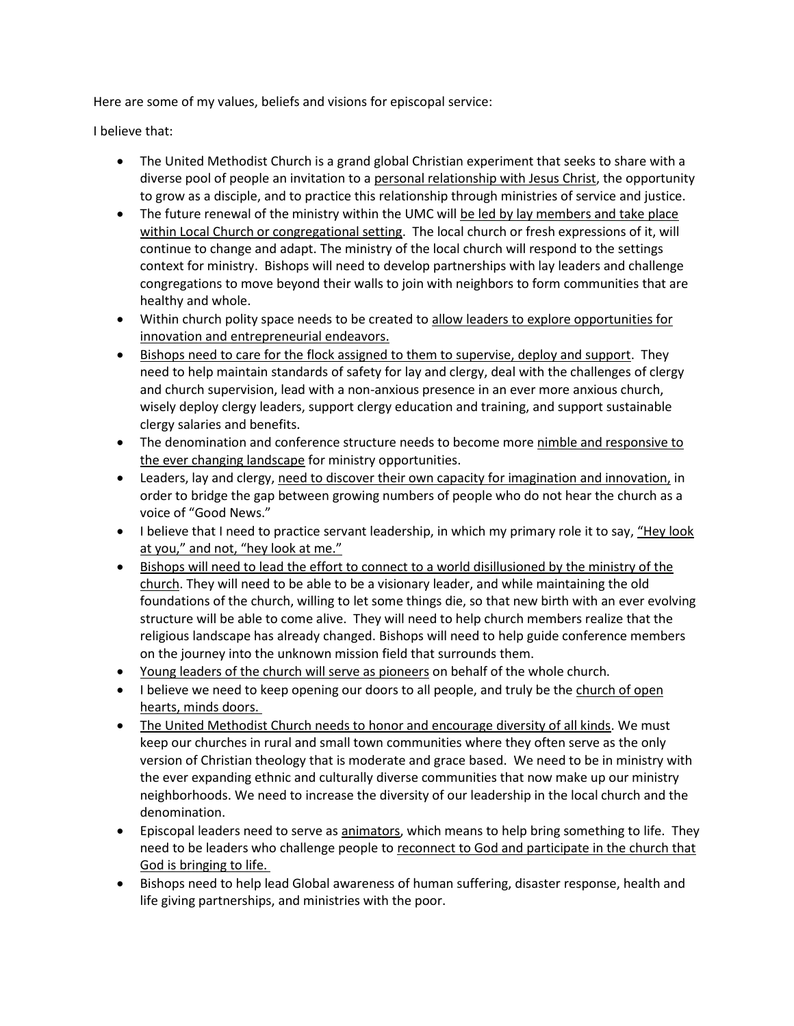Here are some of my values, beliefs and visions for episcopal service:

I believe that:

- The United Methodist Church is a grand global Christian experiment that seeks to share with a diverse pool of people an invitation to a personal relationship with Jesus Christ, the opportunity to grow as a disciple, and to practice this relationship through ministries of service and justice.
- The future renewal of the ministry within the UMC will be led by lay members and take place within Local Church or congregational setting. The local church or fresh expressions of it, will continue to change and adapt. The ministry of the local church will respond to the settings context for ministry. Bishops will need to develop partnerships with lay leaders and challenge congregations to move beyond their walls to join with neighbors to form communities that are healthy and whole.
- Within church polity space needs to be created to allow leaders to explore opportunities for innovation and entrepreneurial endeavors.
- **Bishops need to care for the flock assigned to them to supervise, deploy and support.** They need to help maintain standards of safety for lay and clergy, deal with the challenges of clergy and church supervision, lead with a non-anxious presence in an ever more anxious church, wisely deploy clergy leaders, support clergy education and training, and support sustainable clergy salaries and benefits.
- The denomination and conference structure needs to become more nimble and responsive to the ever changing landscape for ministry opportunities.
- Leaders, lay and clergy, need to discover their own capacity for imagination and innovation, in order to bridge the gap between growing numbers of people who do not hear the church as a voice of "Good News."
- I believe that I need to practice servant leadership, in which my primary role it to say, "Hey look at you," and not, "hey look at me."
- Bishops will need to lead the effort to connect to a world disillusioned by the ministry of the church. They will need to be able to be a visionary leader, and while maintaining the old foundations of the church, willing to let some things die, so that new birth with an ever evolving structure will be able to come alive. They will need to help church members realize that the religious landscape has already changed. Bishops will need to help guide conference members on the journey into the unknown mission field that surrounds them.
- Young leaders of the church will serve as pioneers on behalf of the whole church.
- I believe we need to keep opening our doors to all people, and truly be the church of open hearts, minds doors.
- The United Methodist Church needs to honor and encourage diversity of all kinds. We must keep our churches in rural and small town communities where they often serve as the only version of Christian theology that is moderate and grace based. We need to be in ministry with the ever expanding ethnic and culturally diverse communities that now make up our ministry neighborhoods. We need to increase the diversity of our leadership in the local church and the denomination.
- Episcopal leaders need to serve as **animators**, which means to help bring something to life. They need to be leaders who challenge people to reconnect to God and participate in the church that God is bringing to life.
- Bishops need to help lead Global awareness of human suffering, disaster response, health and life giving partnerships, and ministries with the poor.